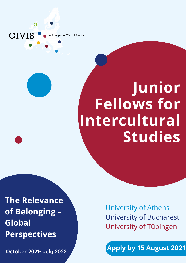A European Civic University

 $\mathbf O$ 

CIVIS

## **Junior Fellows for Intercultural Studies**

**The Relevance of Belonging – Global Perspectives**

**October 2021- July 2022**

University of Athens University of Bucharest University of Tübingen

**Apply by 15 August 2021**